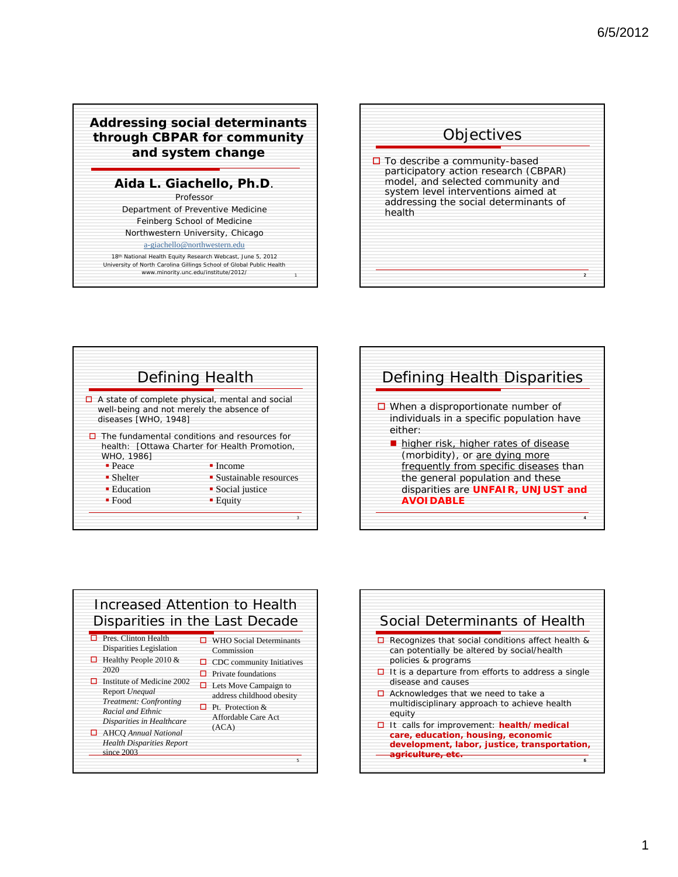## **Addressing social determinants through CBPAR for community and system change**

## **Aida L. Giachello, Ph.D**.

Professor Department of Preventive Medicine Feinberg School of Medicine Northwestern University, Chicago

## a-giachello@northwestern.edu

*18th National Health Equity Research Webcast,* June 5, 2012 *University of North Carolina Gillings School of Global Public Health* www.minority.unc.edu/institute/2012/









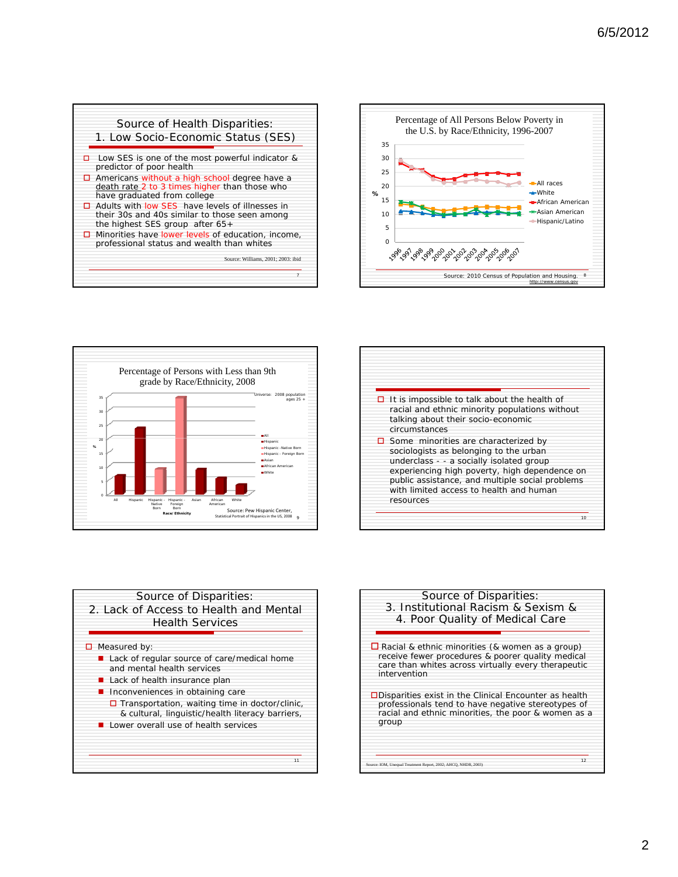









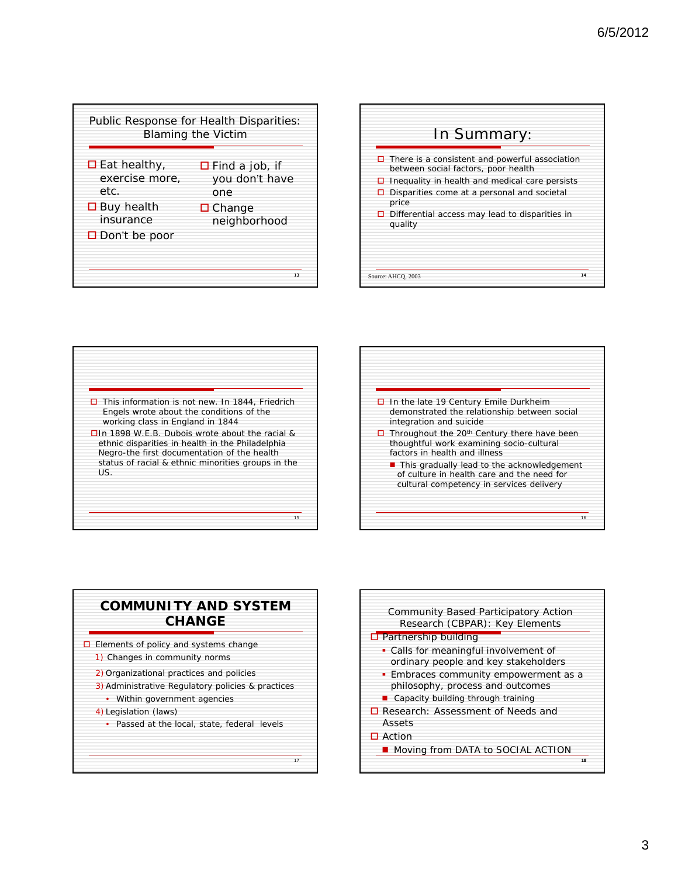









- $\Box$  Elements of policy and systems change
- 1) Changes in community norms
- 2) Organizational practices and policies
- 3) Administrative Regulatory policies & practices
- Within government agencies
- 4) Legislation (laws)
- Passed at the local, state, federal levels

17

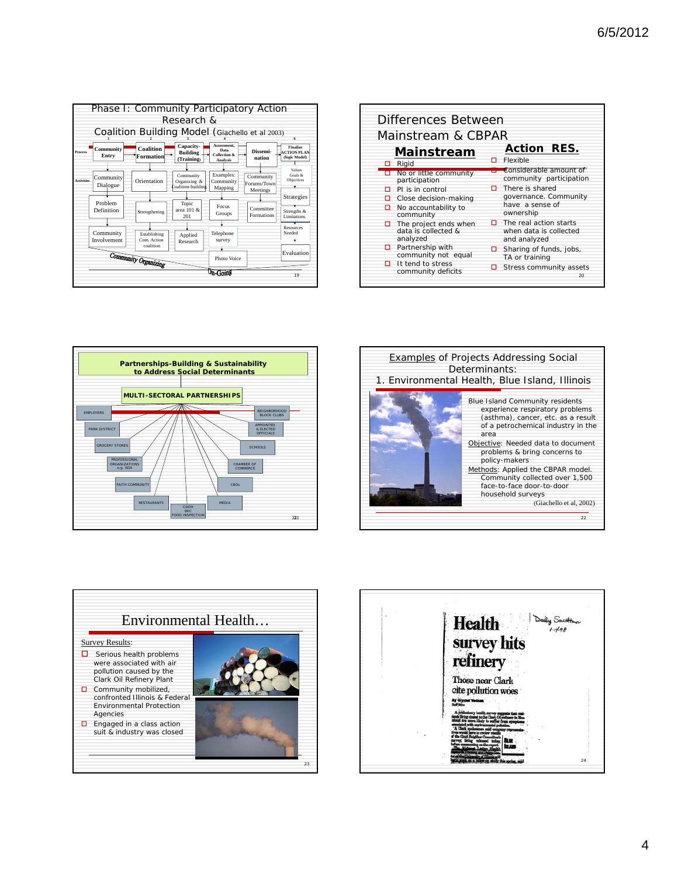|                   |                          | Phase I: Community Participatory Action<br>Coalition Building Model (Giachello et al 2003) | Research &                                      |                                                                   |                                      | 6                                                      |
|-------------------|--------------------------|--------------------------------------------------------------------------------------------|-------------------------------------------------|-------------------------------------------------------------------|--------------------------------------|--------------------------------------------------------|
| Process           | Community<br>Entry       | <b>Coalition</b><br>Formation                                                              | Capacity-<br><b>Building</b><br>(Training)      | Assessment.<br>Data<br><b>Collection &amp;</b><br><b>Analysis</b> | Dissemi-<br>nation                   | <b>Finalize</b><br><b>ACTION PLAN</b><br>(logic Model) |
| <b>Activities</b> | Community<br>Dialogue    | Orientation                                                                                | Community<br>Organizing &<br>Coalition-building | Examples:<br>Community<br>Mapping                                 | Community<br>Forums/Town<br>Meetings | Values<br>Goals &<br><b>Objectives</b><br>▼            |
|                   | Problem<br>Definition    | Strengthening                                                                              | Topic<br>area 101 &<br>201                      | <b>Focus</b><br>Groups                                            | Committee<br>Formations              | Strategies<br>Strengths &<br>Limitations               |
|                   | Community<br>Involvement | Establishing<br>Com Action<br>coalition                                                    | Applied<br>Research                             | Telephone<br>survey                                               |                                      | Resources<br>Needed                                    |
|                   |                          | Community Organizing                                                                       | Photo Voice                                     |                                                                   | Evaluation                           |                                                        |
|                   |                          |                                                                                            |                                                 | $\n  0.000\n$                                                     |                                      | 19                                                     |









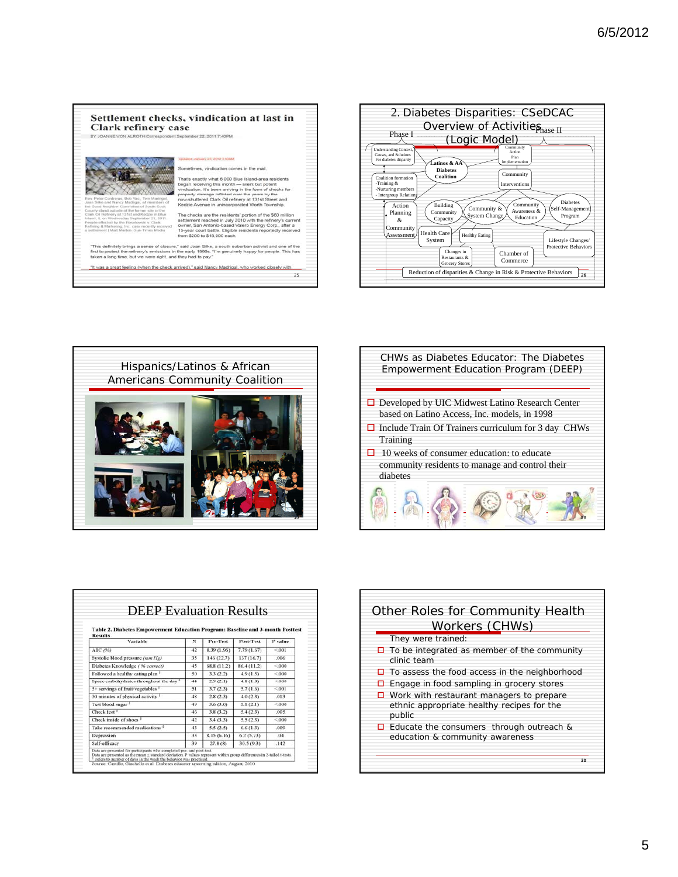





| CHWs as Diabetes Educator: The Diabetes<br>Empowerment Education Program (DEEP)                           |
|-----------------------------------------------------------------------------------------------------------|
| $\Box$ Developed by UIC Midwest Latino Research Center<br>based on Latino Access, Inc. models, in 1998    |
| $\Box$ Include Train Of Trainers curriculum for 3 day CHWs<br>Training                                    |
| 10 weeks of consumer education: to educate<br>community residents to manage and control their<br>diabetes |
|                                                                                                           |

| Table 2. Diabetes Empowerment Education Program: Baseline and 3-month Posttest |    | <b>DEEP</b> Evaluation Results |             |         |
|--------------------------------------------------------------------------------|----|--------------------------------|-------------|---------|
| <b>Results</b><br>Variable                                                     | N  | Pre-Test                       | Post-Test   | P value |
| AIC (96)                                                                       | 42 | 8.39 (1.96)                    | 7.79(1.67)  | < 001   |
| Systolic blood pressure (mm Hg)                                                | 35 | 146 (22.7)                     | 137 (16.7)  | .006    |
| Diabetes Knowledge ( 96 correct)                                               | 45 | 68.8 (11.2)                    | 86.4 (11.2) | < 000   |
| Followed a healthy eating plan 1                                               | 50 | 3.3(2.2)                       | 4.9(1.5)    | < 000   |
| Space carbohydrates throughout the day <sup>1</sup>                            | 44 | 2.9(2.1)                       | 4.8(1.8)    | < 000   |
| 5+ servings of fruit/vegetables                                                | 51 | 3.7(2.3)                       | 5.7(1.6)    | < 001   |
| 30 minutes of physical activity                                                | 48 | 2.8(2.3)                       | 4.0(2.3)    | .013    |
| Test blood sugar                                                               | 49 | 3.6(3.0)                       | 5.1(2.1)    | < 000   |
| Check feet                                                                     | 46 | 3.8(3.2)                       | 5.4(2.3)    | .005    |
| Check inside of shoes <sup>1</sup>                                             | 42 | 3.4(3.3)                       | 5.5(2.3)    | < 000   |
| Take recommended medications                                                   | 43 | 5.5(2.5)                       | 6.6(1.3)    | .009    |
| Depression                                                                     | 33 | 8.15(6.16)                     | 6.2(5.73)   | .04     |
| Self-efficacy                                                                  | 39 | 27.8(8)                        | 30.5 (9.3)  | .142    |

| Other Roles for Community Health<br>Workers (CHWs)                                                      |  |  |  |
|---------------------------------------------------------------------------------------------------------|--|--|--|
| They were trained:                                                                                      |  |  |  |
| $\Box$ To be integrated as member of the community<br>clinic team                                       |  |  |  |
| $\Box$ To assess the food access in the neighborhood                                                    |  |  |  |
| Engage in food sampling in grocery stores                                                               |  |  |  |
| $\Box$ Work with restaurant managers to prepare<br>ethnic appropriate healthy recipes for the<br>public |  |  |  |
| $\Box$ Educate the consumers through outreach &<br>education & community awareness                      |  |  |  |
| 30                                                                                                      |  |  |  |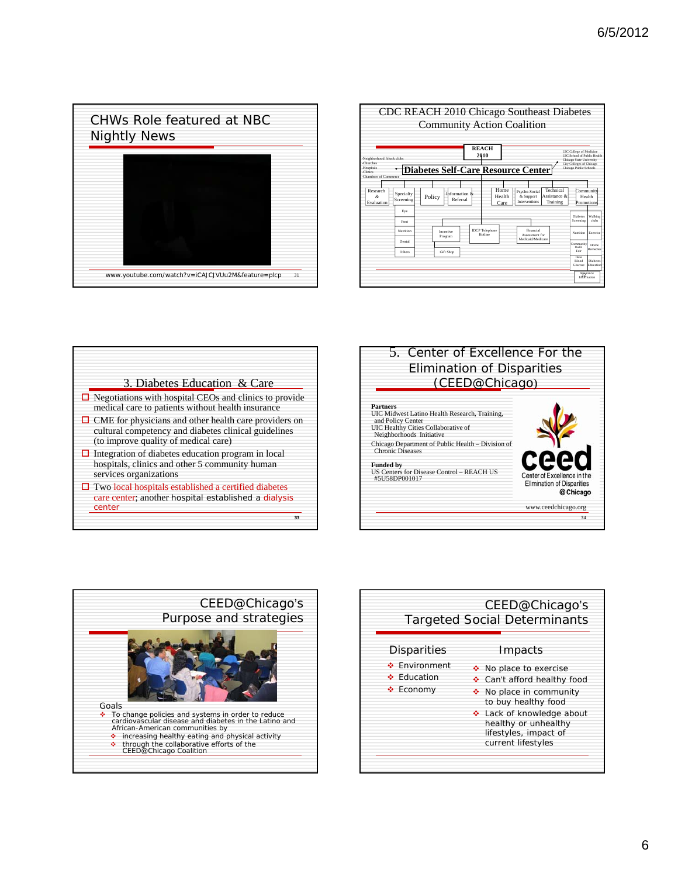









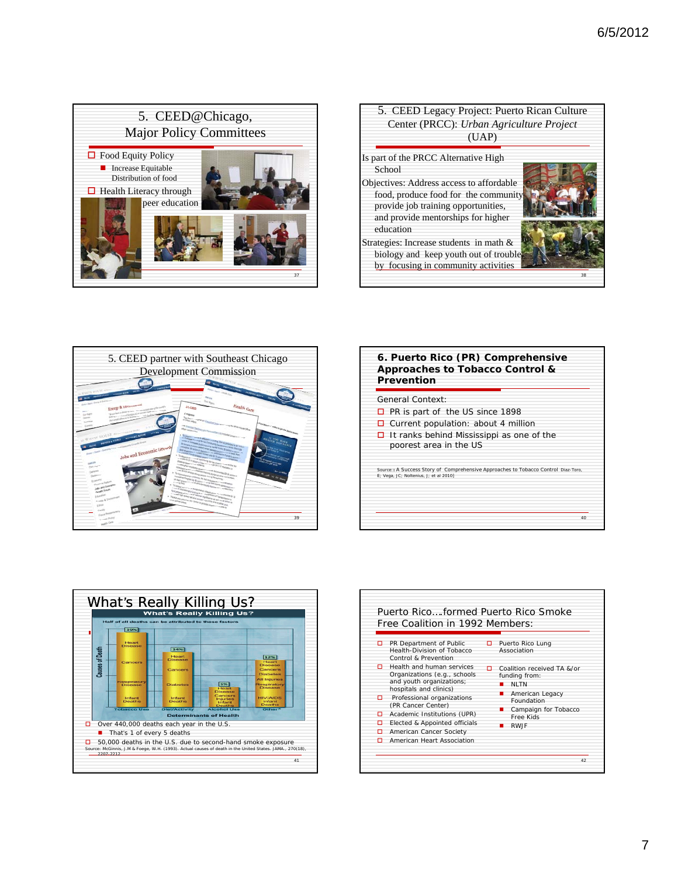